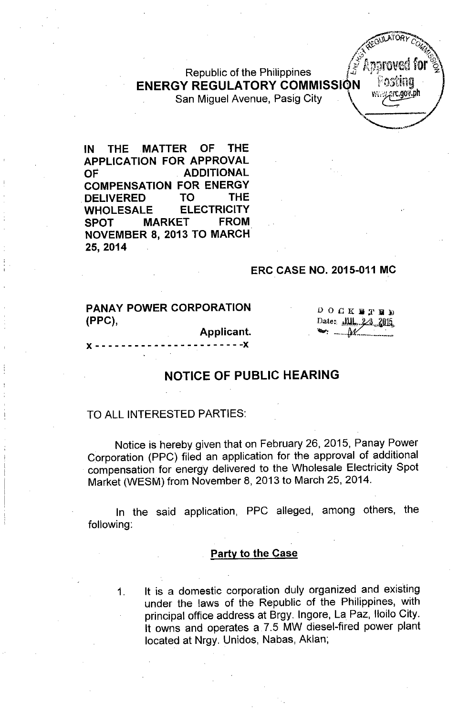Republic of the Philippines ENERGY REGULATORY COMMISSION San Miguel Avenue, Pasig City



IN THE MATTER OF THE APPLICATION FOR APPROVAL OF ADDITIONAL COMPENSATION FOR ENERGY .DELIVERED TO THE WHOLESALE ELECTRICITY SPOT MARKET FROM NOVEMBER 8,2013 TO MARCH 25,2014

#### ERC CASE NO. 2015-011 MC

PANAY POWER CORPORATION (PPC),

 $D$  O  $C$  K **B**  $T$  **B**  $N$ Date: JUL 2.3 2015

x - - - - - - - - • - - - - - - - - - - - - - -x

# NOTICE OF PUBLIC HEARING

Applicant.

#### TO ALL INTERESTED PARTIES:

Notice is hereby given that on February 26, 2015, Panay Power Corporation (PPC) filed an application for the approval of additional compensation for energy delivered to the Wholesale Electricity Spot Market (WESM) from November 8,2013 to March 25,2014.

In the said application, PPC alleged, among others, the following:

## **Party to the Case**

1. It is a domestic corporation duly organized and existing under the laws of the Republic of the Philippines, with principal office address at Brgy. Ingore, La Paz, Iloilo City. It owns and operates a 7.5 MW diesel-fired power plant located at Nrgy. Unidos, Nabas, Aklan;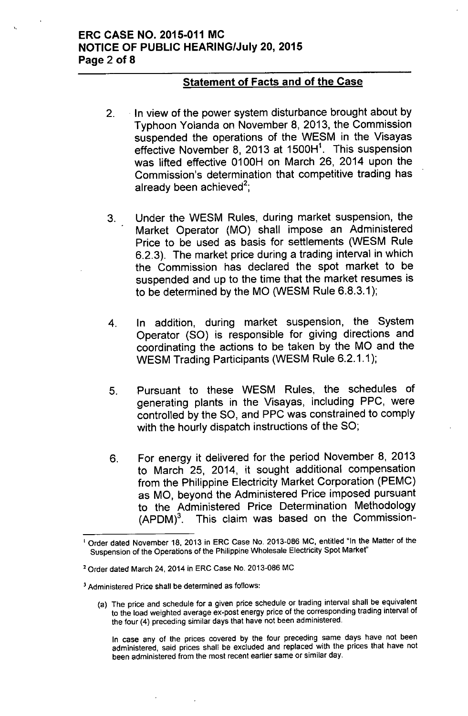## ERC CASE NO. 2015-011 MC **NOTICE OF PUBLIC HEARING/July 20, 2015** Page 2 of 8

#### Statement of Facts and of the Case

- 2. . In view of the power system disturbance brought about by Typhoon Yolanda on November 8, 2013, the Commission suspended the operations of the WESM in the Visayas effective November 8, 2013 at 1500H<sup>1</sup>. This suspensior was lifted effective 0100H on March 26, 2014 upon the Commission's determination that competitive trading has already been achieved<sup>2</sup>
- 3. Under the WESM Rules, during market suspension, the Market Operator (MO) shall impose an Administered Price to be used as basis for settlements (WESM Rule 6.2.3). The market price during a trading interval in which the Commission has declared the spot market to be suspended and up to the time that the market resumes is to be determined by the MO (WESM Rule 6.8.3.1);
- 4. In addition, during market suspension, the System Operator (SO) is responsible for giving directions and coordinating the actions to be taken by the MO and the WESM Trading Participants (WESM Rule 6.2.1.1);
- 5. Pursuant to these WESM Rules, the schedules of generating plants in the Visayas, including PPC, were controlled by the SO, and PPC was constrained to comply with the hourly dispatch instructions of the SO;
- 6. For energy it delivered for the period November 8, 2013 to March 25, 2014, it sought additional compensation from the Philippine Electricity Market Corporation (PEMC) as MO, beyond the Administered Price imposed pursuant to the Administered Price Determination Methodology  $(APDM)<sup>3</sup>$ . This claim was based on the Commission-

(a) The price and schedule for a given price schedule or trading interval shall be equivalent to the load weighted average ex-post energy price of the corresponding trading interval of the four (4) preceding similar days that have not been administered.

In case any of the prices covered by the four preceding same days have not been administered, said prices shall be excluded and replaced with the prices that have not been administered from the most recent earlier same or similar day.

<sup>&</sup>lt;sup>1</sup> Order dated November 18, 2013 in ERC Case No. 2013-086 MC, entitled "In the Matter of the Suspension of the Operations of the Philippine Wholesale Electricity Spot Market"

<sup>2</sup> Order dated March 24, 2014 in ERC Case No. 2013-086 MC

<sup>3</sup> Administered Price shall be determined as follows: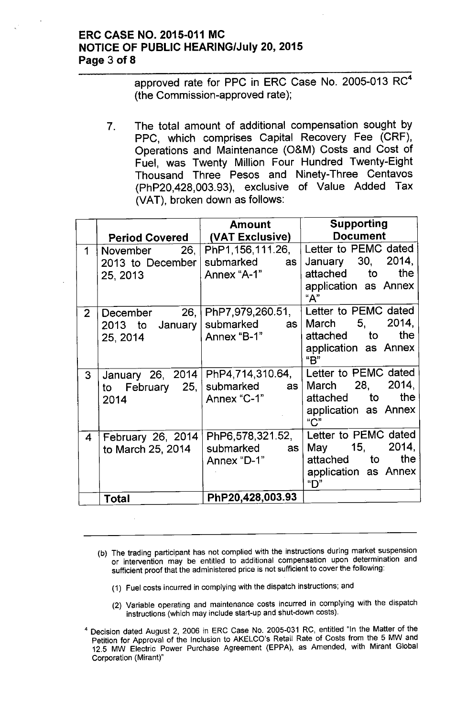## ERC CASE NO. 2015-011 MC **NOTICE OF PUBLIC HEARING/July 20, 2015** Page 3 of 8

approved rate for PPC in ERC Case No. 2005-013 RC<sup>4</sup> (the Commission-approved rate);

7. The total amount of additional compensation sought by PPC, which comprises Capital Recovery Fee (CRF), Operations and Maintenance (O&M) Costs and Cost of Fuel, was Twenty Million Four Hundred Twenty-Eight Thousand Three Pesos and Ninety-Three Centavos (PhP20,428,003.93), exclusive of Value Added Tax (VAT), broken down as follows:

|                |                       | <b>Amount</b>                 | <b>Supporting</b>           |  |
|----------------|-----------------------|-------------------------------|-----------------------------|--|
|                | <b>Period Covered</b> | (VAT Exclusive)               | <b>Document</b>             |  |
| $\mathbf 1$    | 26,  <br>November     | PhP1,156,111.26,              | Letter to PEMC dated        |  |
|                | 2013 to December      | submarked<br>as <sub>1</sub>  | January 30,<br>2014,        |  |
|                | 25, 2013              | Annex "A-1"                   | the<br>attached to          |  |
|                |                       |                               | application as Annex<br>"А" |  |
| 2 <sup>1</sup> |                       | December 26, PhP7,979,260.51, | Letter to PEMC dated        |  |
|                | 2013 to January       | submarked<br>as               | March 5, 2014,              |  |
|                | 25, 2014              | Annex "B-1"                   | the<br>attached to          |  |
|                |                       |                               | application as Annex<br>"B" |  |
| 3              | January 26, 2014      | PhP4,714,310.64,              | Letter to PEMC dated        |  |
|                | February 25,<br>to    | submarked<br>as               | March 28, 2014,             |  |
|                | 2014                  | Annex "C-1"                   | attached to<br>the          |  |
|                |                       |                               | application as Annex<br>C'' |  |
| 4              | February 26, 2014     | PhP6,578,321.52,              | Letter to PEMC dated        |  |
|                | to March 25, 2014     | submarked<br>as               | 2014,<br>May 15,            |  |
|                |                       | Annex "D-1"                   | the<br>attached to          |  |
|                |                       |                               | application as Annex<br>"D" |  |
|                | <b>Total</b>          | PhP20,428,003.93              |                             |  |

- (b) The trading participant has not complied with the instructions during market suspension or intervention may be entitled to additional compensation upon determination and sufficient proof that the administered price is not sufficient to cover the following:
	- (1) Fuel costs incurred in complying with the dispatch instructions; and
	- (2) Variable operating and maintenance costs incurred in complying with the dispatch instructions (which may include start-up and shut-down costs).
- <sup>4</sup> Decision dated August 2, 2006 in ERC Case No. 2005-031 RC, entitled "In the Matter of the Petition for Approval of the Inclusion to AKELCO's Retail Rate of Costs from the 5 MW and 12.5 MW Electric Power Purchase Agreement (EPPA), as Amended, with Mirant Global Corporation (Mirant)"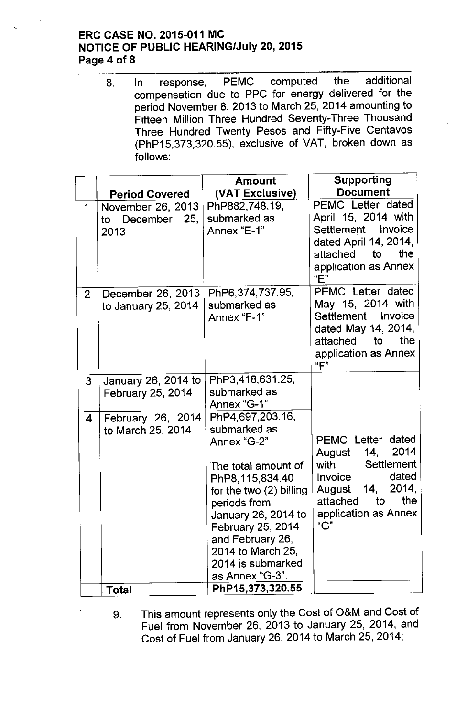## ERC CASE NO. 2015-011 MC **NOTICE OF PUBLIC HEARING/July 20, 2015** Page 4 of 8

8. In response, PEMC computed the additional compensation due to PPC for energy delivered for the period November 8, 2013 to March 25, 2014 amounting to Fifteen Million Three Hundred Seventy-Three Thousand . Three Hundred Twenty Pesos and Fifty-Five Centavos (PhP15,373,320.55), exclusive of VAT, broken down as follows:

|                |                                                 | Amount                                                                                                                                                                                                                                                            | Supporting                                                                                                                                                                                |
|----------------|-------------------------------------------------|-------------------------------------------------------------------------------------------------------------------------------------------------------------------------------------------------------------------------------------------------------------------|-------------------------------------------------------------------------------------------------------------------------------------------------------------------------------------------|
|                | <b>Period Covered</b>                           | (VAT Exclusive)                                                                                                                                                                                                                                                   | <b>Document</b>                                                                                                                                                                           |
| 1              | November 26, 2013<br>December 25,<br>to<br>2013 | PhP882,748.19,<br>submarked as<br>Annex "E-1"                                                                                                                                                                                                                     | PEMC Letter dated<br>April 15, 2014 with<br>Settlement Invoice<br>dated April 14, 2014,<br>attached to<br>the<br>application as Annex<br>"E"                                              |
| $\overline{2}$ | December 26, 2013<br>to January 25, 2014        | PhP6,374,737.95,<br>submarked as<br>Annex "F-1"                                                                                                                                                                                                                   | PEMC Letter dated<br>May 15, 2014 with<br>Settlement<br>Invoice<br>dated May 14, 2014,<br>the<br>attached<br>to<br>application as Annex<br>"F"                                            |
| 3              | January 26, 2014 to<br><b>February 25, 2014</b> | PhP3,418,631.25,<br>submarked as<br>Annex "G-1"                                                                                                                                                                                                                   |                                                                                                                                                                                           |
| 4              | February 26, 2014<br>to March 25, 2014          | PhP4,697,203.16,<br>submarked as<br>Annex "G-2"<br>The total amount of<br>PhP8,115,834.40<br>for the two (2) billing<br>periods from<br>January 26, 2014 to<br>February 25, 2014<br>and February 26,<br>2014 to March 25,<br>2014 is submarked<br>as Annex "G-3". | <b>PEMC Letter</b><br>dated<br>14, 2014<br>August<br>Settlement<br>with the control<br>dated<br>Invoice<br>2014,<br>14,<br>August<br>the<br>attached<br>to<br>application as Annex<br>"G" |
|                | Total                                           | PhP15,373,320.55                                                                                                                                                                                                                                                  |                                                                                                                                                                                           |

9. This amount represents only the Cost of O&M and Cost of Fuel from November 26, 2013 to January 25, 2014, and Cost of Fuel from January 26, 2014 to March 25, 2014;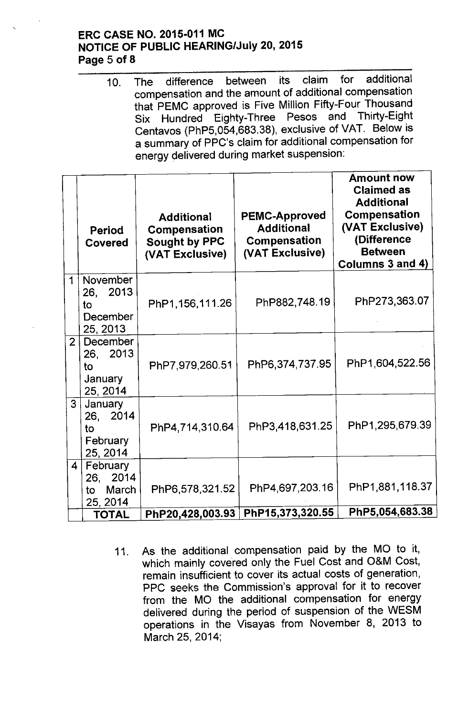## ERC CASE NO. 2015-011 MC NOTICE OF PUBLIC HEARING/July 20, 2015 Page 5 of 8

10. The difference between its claim for additional compensation and the amount of additional compensatiol that PEMC approved is Five Million Fifty-Four Thousand Six Hundred Eighty-Three Pesos and Thirty-Eight Centavos (PhP5,054,683.38), exclusive of VAT. Below is a summary of PPC's claim for additional compensation for energy delivered during market suspension:

|                | Period<br>Covered                                                 | <b>Additional</b><br>Compensation<br><b>Sought by PPC</b><br>(VAT Exclusive) | <b>PEMC-Approved</b><br><b>Additional</b><br>Compensation<br>(VAT Exclusive) | <b>Amount now</b><br><b>Claimed as</b><br><b>Additional</b><br><b>Compensation</b><br>(VAT Exclusive)<br>(Difference<br><b>Between</b><br>Columns 3 and 4) |
|----------------|-------------------------------------------------------------------|------------------------------------------------------------------------------|------------------------------------------------------------------------------|------------------------------------------------------------------------------------------------------------------------------------------------------------|
| 1              | November<br>26, 2013<br>to<br>December<br>25, 2013                | PhP1,156,111.26                                                              | PhP882,748.19                                                                | PhP273,363.07                                                                                                                                              |
| 2 <sup>1</sup> | December<br>26, 2013<br>to<br>January<br>25, 2014                 | PhP7,979,260.51                                                              | PhP6,374,737.95                                                              | PhP1,604,522.56                                                                                                                                            |
|                | 3<br>January<br>26, 2014<br>to<br>February<br>25, 2014            | PhP4,714,310.64                                                              | PhP3,418,631.25                                                              | PhP1,295,679.39                                                                                                                                            |
|                | February<br>$\overline{4}$<br>26, 2014<br>March<br>to<br>25, 2014 | PhP6,578,321.52                                                              | PhP4,697,203.16                                                              | PhP1,881,118.37                                                                                                                                            |
|                | <b>TOTAL</b>                                                      | PhP20,428,003.93                                                             | PhP15,373,320.55                                                             | PhP5,054,683.38                                                                                                                                            |

11. As the additional compensation paid by the MO to it, which mainly covered only the Fuel Cost and O&M Cost, remain insufficient to cover its actual costs of generation, PPC seeks the Commission's approval for it to recover from the MO the additional compensation for energy delivered during the period of suspension of the WESM operations in the Visayas from November 8, 2013 to March 25,2014;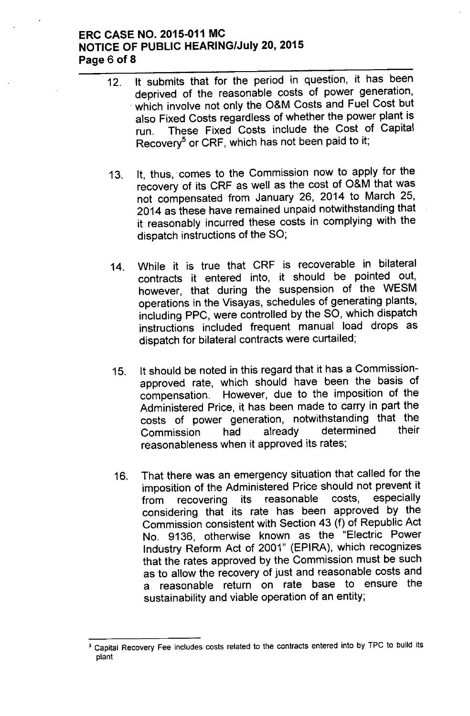### ERC CASE NO. 2015-011 MC **NOTICE OF PUBLIC HEARING/July 20, 2015** Page 6 of 8

- 12. It submits that for the period in question, it has been deprived of the reasonable costs of power generation, which involve not only the O&M Costs and Fuel Cost but also Fixed Costs regardless of whether the power plant is run. These Fixed Costs include the Cost of Capital Recovery<sup>5</sup> or CRF, which has not been paid to it;
- 13. It, thus, comes to the Commission now to apply for the recovery of its CRF as well as the cost of O&M that was not compensated from January 26, 2014 to March 25, 2014 as these have remained unpaid notwithstanding that it reasonably incurred these costs in complying with the dispatch instructions of the SO;
- 14. While it is true that CRF is recoverable in bilateral contracts it entered into, it should be pointed out, however, that during the suspension of the WESM operations in the Visayas, schedules of generating plants, including PPC, were controlled by the SO, which dispatch instructions included frequent manual load drops as dispatch for bilateral contracts were curtailed;
- 15. It should be noted in this regard that it has a Commissionapproved rate, which should have been the basis of compensation. However, due to the imposition of the Administered Price, it has been made to carry in part the costs of power generation, notwithstanding that the<br>Commission bad already determined their Commission had already determined their reasonableness when it approved its rates;
- 16. That there was an emergency situation that called for the imposition of the Administered Price should not prevent it from recovering its reasonable costs, especially considering that its rate has been approved by the Commission consistent with Section 43 (f) of Republic Act No. 9136, otherwise known as the "Electric Power Industry Reform Act of 2001" (EPIRA), which recognizes that the rates approved by the Commission must be such as to allow the recovery of just and reasonable costs and a reasonable return on rate base to ensure the sustainability and viable operation of an entity;

<sup>,</sup> Capital Recovery Fee includes costs related to the contracts entered into by TPC to build its plant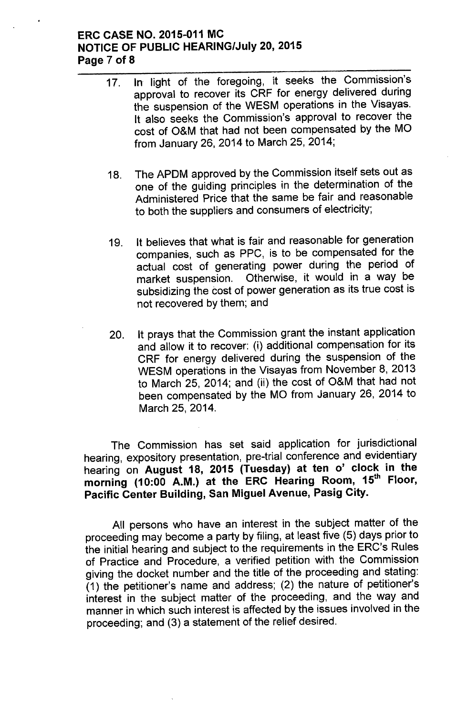### ERC CASE NO. 2015-011 MC **NOTICE OF PUBLIC HEARING/July 20, 2015** Page 7 of 8

- 17. In light of the foregoing, it seeks the Commission's approval to recover its CRF for energy delivered during the suspension of the WESM operations in the Visayas. It also seeks the Commission's approval to recover the cost of O&M that had not been compensated by the MO from January 26, 2014 to March 25, 2014;
- 18. The APDM approved by the Commission itself sets out as one of the guiding principles in the determination of the Administered Price that the same be fair and reasonable to both the suppliers and consumers of electricity;
- 19. It believes that what is fair and reasonable for generation companies, such as PPC, is to be compensated for the actual cost of generating power during the period of market suspension. Otherwise, it would in a way be subsidizing the cost of power generation as its true cost is not recovered by them; and
- 20. It prays that the Commission grant the instant application and allow it to recover: (i) additional compensation for its CRF for energy delivered during the suspension of the WESM operations in the Visayas from November 8, 2013 to March 25, 2014; and (ii) the cost of O&M that had not been compensated by the MO from January 26, 2014 to March 25,2014.

The Commission has set said application for jurisdictional hearing, expository presentation, pre-trial conference and evidentiary hearing on August 18, 2015 (Tuesday) at ten 0' clock in the morning (10:00 A.M.) at the ERC Hearing Room, 15<sup>th</sup> Floor, Pacific Center Building, San Miguel Avenue, Pasig City.

All persons who have an interest in the subject matter of the proceeding may become a party by filing, at least five (5) days prior to the initial hearing and subject to the requirements in the ERC's Rules of Practice and Procedure, a verified petition with the Commission giving the docket number and the title of the proceeding and stating:  $(1)$  the petitioner's name and address; (2) the nature of petitioner's interest in the subject matter of the proceeding, and the way and manner in which such interest is affected by the issues involved in the proceeding; and (3) a statement of the relief desired.